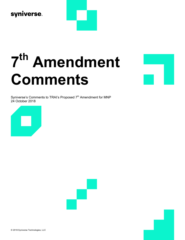## syniverse.

# 7 th Amendment Comments

Syniverse's Comments to TRAI's Proposed 7<sup>th</sup> Amendment for MNP 24 October 2018





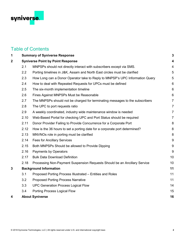

### Table of Contents

| 1 |                                          | <b>Summary of Syniverse Response</b>                                         | 3                       |
|---|------------------------------------------|------------------------------------------------------------------------------|-------------------------|
| 2 | <b>Syniverse Point by Point Response</b> |                                                                              | $\overline{\mathbf{4}}$ |
|   | 2.1                                      | MNPSPs should not directly interact with subscribers except via SMS.         | 4                       |
|   | 2.2                                      | Porting timelines in J&K, Assam and North East circles must be clarified     | 5                       |
|   | 2.3                                      | How Long can a Donor Operator take to Reply to MNPSP's UPC Information Query | 5                       |
|   | 2.4                                      | How to deal with Repeated Requests for UPCs must be defined                  | $6\,$                   |
|   | 2.5                                      | The six-month implementation timeline                                        | 6                       |
|   | 2.6                                      | Fines Against MNPSPs Must be Reasonable                                      | $6\phantom{1}$          |
|   | 2.7                                      | The MNPSPs should not be charged for terminating messages to the subscribers | $\overline{7}$          |
|   | 2.8                                      | The UPC to port requests ratio                                               | $\overline{7}$          |
|   | 2.9                                      | A weekly coordinated, industry wide maintenance window is needed             | $\overline{7}$          |
|   | 2.10                                     | Web-Based Portal for checking UPC and Port Status should be required         | $\overline{7}$          |
|   | 2.11                                     | Donor Provider Failing to Provide Concurrence for a Corporate Port           | 8                       |
|   | 2.12                                     | How is the 36 hours to set a porting date for a corporate port determined?   | 8                       |
|   | 2.13                                     | MNVNOs role in porting must be clarified                                     | 8                       |
|   | 2.14                                     | <b>Fees for Ancillary Services</b>                                           | 9                       |
|   | 2.15                                     | Both MNPSPs Should be allowed to Provide Dipping                             | $9\,$                   |
|   | 2.16                                     | Payments by Operators                                                        | 9                       |
|   | 2.17                                     | <b>Bulk Data Download Definition</b>                                         | 10                      |
|   | 2.18                                     | Processing Non-Payment Suspension Requests Should be an Ancillary Service    | 10                      |
| 3 | <b>Background Information</b>            |                                                                              | 11                      |
|   | 3.1                                      | Proposed Porting Process Illustrated - Entities and Roles                    | 11                      |
|   | 3.2                                      | <b>Proposed Porting Process Narrative</b>                                    | 11                      |
|   | 3.3                                      | <b>UPC Generation Process Logical Flow</b>                                   | 14                      |
|   | 3.4                                      | Porting Process Logical Flow                                                 | 15                      |
| 4 |                                          | <b>About Syniverse</b>                                                       | 16                      |
|   |                                          |                                                                              |                         |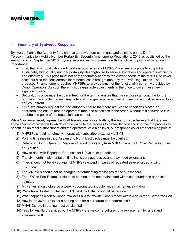

#### 1 Summary of Syniverse Response

Syniverse thanks the Authority for a chance to provide our comments and opinions on the Draft Telecommunication Mobile Number Portability (Seventh Amendment) Regulations, 2018 as published by the Authority on 25 September 2018. Syniverse prefaces its comments with the following points of paramount importance:

- First, that any modifications will be done post renewal of MNPSP licenses at a price to support a sustainably high-quality number portability clearinghouse to serve subscribers and operators efficiently and effectively. This price must not only adequately address the current needs of the MNPSP to cover costs but also the considerable incremental costs brought about by the Draft Regulations. The proposed  $7<sup>th</sup>$  amendment requires MNPSPs to provide much of the functionality currently provided by Donor Operators. As such there must be equitable adjustments in the price to cover these new significant costs.
- Second, this price must be guaranteed for the term to ensure that the services can continue for the term in a predictable manner. Any potential changes in price – in either direction – must be known to all parties up front.
- Third, we humbly request that the Authority ensure that there are license conditions placed on operators and ensure that the operators meet the conditions in the order. Without this assurance it is doubtful the goals of the regulation can be met.

While Syniverse largely agrees the Draft Regulations as set forth by the Authority we believe that there are some specific improvements which can be made to the process to better define it and improve the process to benefit Indian mobile subscribers and the operators. At a high level, our response covers the following points:

- 1) MNPSPs should not directly interact with subscribers except via SMS.
- 2) Porting timelines in J&K, Assam and North East circles must be clarified
- 3) Details on Donor Operator Response Period to a Query from MNPSP when a UPC is Requested must be Clarified
- 4) How to deal with Repeated Requests for UPCs must be defined
- 5) The six-month implementation timeline is very aggressive and may need extensions
- 6) Fines should not be levied against MNPSPs except in cases of repeated severe issues or wilful misconduct.
- 7) The MNPSPs should not be charged for terminating messages to the subscribers
- 8) The UPC to Port Request ratio must be monitored and maintained within set boundaries or prices adjusted.
- 9) All Parties should observe a weekly coordinated, industry wide maintenance window
- 10) Web-Based Portal for checking UPC and Port Status should be required
- 11) What happens when a Donor Provider Fails to Provide Concurrence within 4 days for a Corporate Port
- 12) How is the 36 hours to set a porting date for a corporate port determined?
- 13) MNVNOs role in porting must be clarified
- 14) Fees for Ancillary Services by the MNPSP are welcome but are not a replacement for a fair and adequate tariff.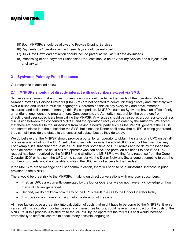

- 15) Both MNPSPs should be allowed to Provide Dipping Services
- 16) Payments by Operators within fifteen days should be enforced
- 17) Bulk Data Download definition should include partial as well as full data downloads
- 18) Processing of non-payment Suspension Requests should be an Ancillary Service and subject to an ancillary tariff

#### 2 Syniverse Point by Point Response

Our response is detailed below

#### 2.1 MNPSPs should not directly interact with subscribers except via SMS.

Syniverse is adamant that end user communications should be left in the hands of the operators. Mobile Number Portability Service Providers (MNPSPs) are not oriented to communicating directly and intimately with over a billion end users in multiple languages. Operators do this all day every day and have immense resources and call centres to manage this. By comparison, MNPSPs, such as Syniverse have an office of only a handful of engineers and programmers. Consequently, the Authority must prohibit the operators from directing end user subscribers from calling the MNPSP. Any issues should be raised as a business-to-business discussion between the concerned MNPSP and the operator directly or via order by the Authority. We accept that there are benefits to the subscribers from having a neutral party such as the MNPSP generate the UPCs and communicate it to the subscriber via SMS, but since the Donor shall know that a UPC is being generated they can still provide the status to the concerned subscribes as they do today.

We do believe that the MNPSP should provide a portal for an operator to obtain the status of a UPC on behalf of a subscriber – but not the UPC itself. Due to security reasons the actual UPC could not be given this way. For example, if a subscriber requests a UPC but after some time no UPC arrives and no delay message has been delivered to him, he could call the operator who can check the portal on his behalf to see if the UPC request has been received by the MNPSP, and whether the MNPSP is waiting for a response from the Donor Operator (DO) or has sent the UPC to the subscriber via the Donor Network. So, anyone attempting to port the number improperly would not be able to obtain the UPC without access to the handset.

If the MNPSPs are to manage end user communication, there will need to be a substantial increase in price provided to the MNPSP.

There would be great risk to the MNPSPs in taking on direct conversations with end user subscribers.

- First, as UPCs are currently generated by the Donor Operator, we do not have any knowledge on how many UPCs are generated.
- Second, we do not know how many of the UPCs result in a call to the Donor Operator today.
- Third, we do not have any insight into the duration of the calls.

All three factors pose a great risk into calculation of costs that might have to be borne by the MNPSPs. Even a very small miscalculation, or change in any of these three factors, could have a huge impact on the costs of the MNPSPs. If this process is foisted off to the MNPSP by the operators the MNPSPs cost would increase dramatically to staff call centres to speak many possible languages.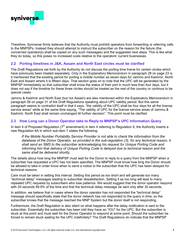

Therefore, Syniverse firmly believes that the Authority must prohibit operators from forwarding or referring calls to the MNPSPs. Instead they should attempt to instruct the subscriber on the reason for the failure (the concerned operator(s) shall be copied on any such messages) and the suggested next steps. This is like what they do today, so this poses no increased costs relative to the operators' current businesses.

#### 2.2 Porting timelines in J&K, Assam and North East circles must be clarified

The Draft Regulations set forth by the Authority do not discuss the porting time frame for certain circles which have previously been treated separately. Only in the Explanatory Memorandum in paragraph 28 on page 23 is it mentioned that the existing period for porting a mobile number as seven days for Jammu and Kashmir, North East and Assam where it is fifteen days. That section goes on to note that the UPC will be generated by the MNPSP immediately so that subscriber shall know the status of their port in much less than four days, but it does not say if the timeline for these three circles should be treated as the rest of the country or continue to be special cases.

Jammu & Kashmir and North East (but not Assam) are also mentioned within the Explanatory Memorandum in paragraph 56 on page 31 of the Draft Regulations speaking about UPC validity period. But this same paragraph seems to contradict itself in that it says, "the validity of the UPC shall be four days for all the license service areas" while at the same time saying, "The validity of UPC for the license service areas of Jammu & Kashmir, North East shall remain unchanged till further decision". This point must be clarified.

#### 2.3 How Long can a Donor Operator take to Reply to MNPSP's UPC Information Query

In item 4 of Proposed Regulation ( $7<sup>th</sup>$  amendment) in item 4 referring to Regulation 6, the Authority inserts a new Regulation 6A in which sub-item 7 states the following:

If the Mobile Number Portability Service Provider is not able to check the information from the database of the Donor Operator, as provided in the sub-regulation (3), for any technical reason, it shall send an SMS to the subscriber acknowledging his request for Unique Porting Code and informing him that delivery of Unique Porting Code is delayed due to technical reason and the same shall be delivered shortly.

The details about how long the MNPSP must wait for the Donor to reply to a query from the MNPSP when a subscriber has requested a UPC has not been specified. The MNPSP must know how long the Donor should be allowed to take in order know when to send a notice to the subscriber that the UPC has been delayed for technical reasons.

Care must be taken in setting this interval. Setting this period as too short and will generate too many "technical delay" messages leading to subscriber dissatisfaction. Setting it as too long will lead to many repeated UPC requests by subscribers who lose patience. We would suggest that the donor operator respond with 20 seconds 99.9% of the time and that the technical delay message be sent only after 30 seconds.

In addition, we believe that in cases where the donor operator has not responded the "technical delay" message should specifically state that the donor network has not responded to the query in time, so the subscriber knows that the message reached the MNP System but the donor itself is not responding.

Furthermore, the Draft Regulation is also silent on what happens after the delay notification is sent to the subscriber. Essentially the subscriber has been told they have an "IOU" for the UPC. But the subscriber is stuck at this point and must wait for the Donor Operator to respond at some point. Should the subscriber be forced to remain stuck waiting for the UPC indefinitely? The Draft Regulations do indicate that the MNPSP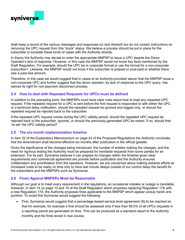

shall keep a record of the various messages and responses (or lack thereof) but do not contain instructions on removing the UPC request from this "stuck" status. We believe a process should be put in place for the subscriber to escalate these kinds of cases with the Authority directly.

In theory the Authority may decide to order the appropriate MNPSP to issue a UPC despite the Donor Operator's lack of response. However, in this case the MNPSP would not know key facts mentioned by the Draft Regulation. For example, should the UPC be in corporate format or use the format for a non-corporate subscriber? Likewise, the MNPSP would not know if the subscriber is prepaid or post-paid or whether there was a past-due amount.

Therefore, in this case we would suggest that in cases of an Authority-provided waiver that the MNPSP issue a non-corporate UPC and further suggest that the donor operator, by lack of response to the UPC query, has waived its right for non-payment disconnect process.

#### 2.4 How to deal with Repeated Requests for UPCs must be defined

In addition to the preceding point, the MNPSPs must have clear rules about how to treat any repeated UPC request. If the repeated request for a UPC is sent before the first request is responded to with either the UPC or a technical delay notification, should the repeated request be ignored and logged only, or should the repeated request be rejected back to the subscriber.

If the repeated UPC request comes during the UPC validity period, should the repeated UPC request be rejected back to the subscriber, ignored, or should the previously generated UPC be resent. If so, should that 're-set' the UPC validity period?

#### 2.5 The six-month implementation timeline

In item 32 of the Explanatory Memorandum on page 24 of the Proposed Regulations the Authority concludes that the Amendment shall become effective six months after publication in the official gazette.

Given the significance of the changes being introduced, the number of entities making the changes, and the need for rigorous testing the Authority must be prepared for inevitable requests from some parties for an extension. For its part, Syniverse believes it can prepare its changes within the timeline given clear requirements and commercial agreement are provide before publication and the Authority ensures collaboration and prioritization from the operators. However, we are concerned about making extreme efforts at increased costs to be ready on time only to have last minute delays outside of our control delay the benefit for the subscribers and the MNPSPs such as Syniverse.

#### 2.6 Fines Against MNPSPs Must be Reasonable

Although our goal is to meet every requirement in the regulations, an occasional mistake or outage is inevitable. However, in item 14 on page 13 and 14 of the Draft Regulation which proposes replacing Regulation 17A with a new Regulation 17A, the Authority proposes fines applicable to the MNPSP which appear unduly harsh and punitive. To avoid this Syniverse would suggest the following:

 First, Syniverse would suggest that a percentage-based service level agreement (SLA) be reached so that for example, for example a fine should be assessed only if less than 99.0% of all UPCs requests in a reporting period are generated on time. This can be produced as a standard report to the Authority monthly and the fines levied in due course.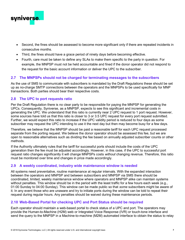

- Second, the fines should be assessed to become more significant only if there are repeated incidents in consecutive months.
- Third, the fines should have a grace period of ninety days before becoming effective.
- Fourth, care must be taken to define any SLAs to make them specific to the party in question. For example, the MNPSP must not be held accountable and fined if the donor operator did not respond to the request for the basic account information or deliver the UPC to the subscriber.

#### 2.7 The MNPSPs should not be charged for terminating messages to the subscribers

As the use of SMS to communicate with subscribers is mandated by the Draft Regulations these should be set up as no-charge SMTP connections between the operators and the MNPSPs to be used specifically for MNP transactions. Both parties should bear their respective costs.

#### 2.8 The UPC to port requests ratio

Per the Draft Regulation there is no clear party to be responsible for paying the MNPSP for generating the UPCs. Consequently, Syniverse, as a MNPSP, expects to see this significant and incremental costs in generating the UPC. We understand that this ratio is currently near 2 UPC request to 1 port request. However, some sources have told us that this ratio is closer to 3 or 3.5 UPC request for every port request submitted. Further, we would expect this ratio to increase if the UPC validity period is reduced to four days as some subscriber may request the UPC intending to use it the next day but then may become busy for a few days.

Therefore, we believe that the MNPSP should be paid a reasonable tariff for each UPC request processed separate from the porting request. We believe the donor operator should be assessed this fee, but we are open to reasonable alternatives such as dividing the fee based on annually adjusted subscriber counts or other methods.

If the Authority ultimately rules that the tariff for successful ports should include the costs of the UPC generation then the fee must be adjusted accordingly. However, in this case, if the UPC to successful port request ratio changes significantly it will change MNPSPs costs without changing revenue. Therefore, this ratio must be monitored over time and changes in price made accordingly.

#### 2.9 A weekly coordinated, industry wide maintenance window is needed

All systems need preventative, routine maintenance at regular intervals. With the expanded interaction between the operators and MNPSP and between subscribers and MNPSP via SMS there should be coordinated, limited, weekly maintenance window where operators and MNPSP alike can maintain systems without penalties. This window should be in the period with the least traffic for a few hours each week (e.g., 01:00 Sunday to 04:00 Sunday). This window can be made public so that some subscribers might be aware of it. In any event those who are unaware and try to initiate ports during the window can be told to repeat their request during regular hours. Any penalties should be waived during these maintenance periods.

#### 2.10 Web-Based Portal for checking UPC and Port Status should be required

Each operator should maintain a web-based portal to check status of a UPC and port. The operators may provide the Human-to-Machine (H2M) web or Integrated Voice Response (IVR) or touch-tone interface and send the query to the MNPSP in a Machine-to-machine (M2M) automated interface to obtain the status to relay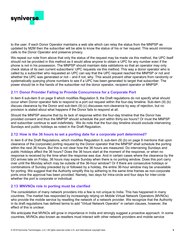

to the user. If each Donor Operator maintains a web site which can relay the status from the MNPSP as updated by M2M then the subscriber will be able to know the status of his or her request. This would minimize calls to the Donor Operator and preserve privacy.

We repeat our note from above that only the status of the request may be made via this method, the UPC itself should not be provided in this method as it would allow anyone to obtain a UPC for any number even if the phone is not in his possession. The MNPSP should maintain data validations so that an operator may only check status of its own current subscribers' UPC requests via this method. This way a donor operator who is called by a subscriber who requested an UPC can say that the UPC request reached the MNPSP or not and whether the UPC was generated or not – and if not, why. This would prevent other operators from randomly or systematically querying phone numbers to see if a UPC has been generated to target that subscriber. The power should be in the hands of the subscriber not the donor operator, recipient operator or MNPSP.

#### 2.11 Donor Provider Failing to Provide Concurrence for a Corporate Port

In item 6 sub-item 9 on page 9 which modifies Regulation 9, the Draft regulations do not specify what should occur when Donor operator fails to respond to a port out request within the four-day timeline. Sub-item (9) (b) discuss clearance by the Donor and sub-item (9) (c) discusses non-clearance by way of rejection, but no provision is stated about what happens if the Donor fails to respond at all.

Should the MNPSP assume that by its lack of response within the four-day timeline that the Donor has provided consent and thus the MNPSP should schedule the port within thirty-six hours? Or must the MNPSP and subscriber continue to wait indefinitely. We do note that the four-day timeline should exclude intervening Sundays and public holidays as noted in the Draft Regulation.

#### 2.12 How is the 36 hours to set a porting date for a corporate port determined?

In item 6 of the Draft Regulations, which modifies Regulation 9, sub-item (9) (b) on page 9 mentions that upon clearance of the (corporate) porting request by the Donor operator that the MNPSP shall schedule the porting within the next 36 hours. But this is not clear how the 36 hours are measured. Do intervening Sundays and public Holidays affect the 36 hours? Does the 36 hours start at the moment of the response, or when no response is received by the time when the response was due. And in certain cases where the clearance by the DO arrives late on Friday, 36 hours may expire Sunday when there is no porting window. Does this port carry over until the Monday which may be outside of the 36-hour window? Or if there are consecutive holidays or combinations of Sunday preceded by or followed by a holiday, the entire 36-hour window may be unavailable for porting. We suggest that the Authority simplify this by adhering to the same time frames as non-corporate ports once the approval has been provided. Namely, two days for Intra-circle and four days for Inter-circle whether the port is corporate or individual.

#### 2.13 MNVNOs role in porting must be clarified

The consolidation of many network providers into a few is not unique to India. This has happened in many countries. The market has responded by increasingly relying on Mobile Virtual Network Operators (MVNOs) who provide the mobile service by reselling the network of a network provider. We recognize that the Authority in its draft regulations has defined terms to add "Virtual Network Operator" in certain clauses, however, the effect of this is unclear.

We anticipate that MVNOs will grow in importance in India and strongly suggest a proactive approach. In some countries, MVNOs also known as resellers must interact with other network providers and mobile service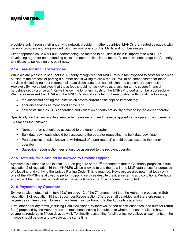

providers only through their underlying network provider. In other countries, MVNOs are treated as equals with network providers and are provided with their own operator IDs, LRNs and number ranges.

Either approach could work but understanding the method to be used in India is important to MNPSP's developing a greater understanding costs and opportunities in the future. As such, we encourage the Authority to indicate its policies on this point now.

#### 2.14 Fees for Ancillary Services

While we are pleased to see that the Authority recognizes that MNPSPs is in fact exposed to costs for services outside of the process of porting a number and is willing to allow the MNPSP to be compensated for these services (including number returns, bulk data downloads, port cancellation and subscriber reconnection). However, Syniverse believes that these fees should not be viewed as a solution to the severe financial hardships set by a price at 4 Rs well below the long-term costs of the MNPSP to port a number successfully. We therefore assert that TRAI and the MNPSPs should set a fair, but reasonable tariffs for all the following:

- the successful porting requests which covers current costs applied immediately
- ancillary services as mentioned above and
- new costs such as UPC generation and validation of ports previously provided by the donor operator.

Specifically, on the new ancillary service tariffs we recommend these be applied to the operator who benefits. This means the following:

- Number returns should be assessed to the donor operator
- Bulk data downloads should be assessed to the operator requesting the bulk data download
- Port cancellation (also known as withdrawal of a port request) should be assessed to the donor operator
- Subscriber reconnection fees should be assessed to the recipient operator

#### 2.15 Both MNPSPs Should be allowed to Provide Dipping

Syniverse is pleased to see in item 13.a) on page 12 of the  $7<sup>th</sup>$  amendment that the Authority proposes in subregulation 2 of regulation 16 that MNPSPs will be allowed to use the data in the MNP data bases for purposes of allocating and verifying the Unique Porting Code. This is required. However, we also note that today only one of the MNPSPs is allowed to perform dipping services despite the license terms and conditions. We hope and expect that this can be modified at the same time as the  $7<sup>th</sup>$  amendment is adopted.

#### 2.16 Payments by Operators

Syniverse also notes that in item 12.a) on page 12 of the  $7<sup>th</sup>$  amendment that the Authority proposes in Subregulation 1 of regulation 15 that Subscriber Reconnection Charges shall be added and therefore require payments in fifteen days. However, two items must be brought to the Authority's attention.

First, other ancillary tariffs (including Data Downloads, Withdrawal or port cancellation fees, and number return fees) proposed by the Authority are not mentioned leaving in doubt as to whether these are also to have payments rendered in fifteen days as well. To simplify accounting for all parties we believe all payments on the invoice should be due and payable at the same time.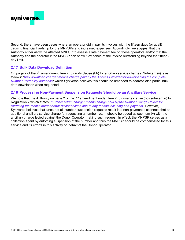

Second, there have been cases where an operator didn't pay its invoices with the fifteen days (or at all) causing financial hardship for the MNPSPs and increased expenses. Accordingly, we suggest that the Authority either allow the affected MNPSP to assess a late payment fee on these operators and/or that the Authority fine the operator if the MNPSP can show it evidence of the invoice outstanding beyond the fifteenday limit.

#### 2.17 Bulk Data Download Definition

On page 2 of the  $7<sup>th</sup>$  amendment item 2 (b) adds clause (bb) for ancillary service charges. Sub-item (ii) is as follows: "bulk download charge" means charge paid by the Access Provider for downloading the complete Number Portability database; which Syniverse believes this should be amended to address also partial bulk data downloads when requested.

#### 2.18 Processing Non-Payment Suspension Requests Should be an Ancillary Service

We note that the Authority on page 2 of the  $7<sup>th</sup>$  amendment under item 2 (b) inserts clause (bb) sub-item (i) to Regulation 2 which states: "number return charge" means charge paid by the Number Range Holder for returning the mobile number after disconnection due to any reason including non-payment. However, Syniverse believes that since not all number suspension requests result in a non-payment disconnect that an additional ancillary service charge for requesting a number return should be added as sub-item (v) with the ancillary charge levied against the Donor Operator making such request. In effect, the MNPSP serves as a collection agent by enforcing suspension of the number and thus the MNPSP should be compensated for this service and its efforts in this activity on behalf of the Donor Operator.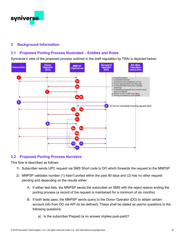

#### 3 Background Information

#### 3.1 Proposed Porting Process Illustrated – Entities and Roles

Syniverse's view of the proposed process outlined in the draft regulation by TRAI is depicted below:



#### 3.2 Proposed Porting Process Narrative

This flow is described as follows:

- 1) Subscriber sends UPC request via SMS Short code to DO which forwards the request to the MNPSP
- 2) MNPSP validates number (1) hasn't ported within the past 90 days and (2) has no other request pending and depending on the results either:
	- A. If either test fails, the MNPSP sends the subscriber an SMS with the reject reason ending the porting process (a record of the request is maintained for a minimum of six months)
	- B. If both tests pass, the MNPSP sends query to the Donor Operator (DO) to obtain certain account info from DO via API (to be defined). These shall be stated as yes/no questions to the following questions:
		- a) Is the subscriber Prepaid (a no answer implies post-paid)?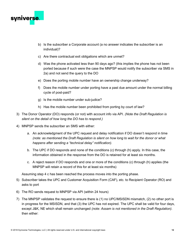

- b) Is the subscriber a Corporate account (a no answer indicates the subscriber is an individual)?
- c) Are there contractual exit obligations which are unmet?
- d) Was the phone activated less than 90 days ago? (this implies the phone has not been ported because if such were the case the MNPSP would notify the subscriber via SMS in 2a) and not send the query to the DO
- e) Does the porting mobile number have an ownership change underway?
- f) Does the mobile number under porting have a past due amount under the normal billing cycle of post-paid?
- g) Is the mobile number under sub-judice?
- h) Has the mobile number been prohibited from porting by court of law?
- 3) The Donor Operator (DO) responds (or not) with account info via API. (Note the Draft Regulation is silent on the detail of how long the DO has to respond.)
- 4) MNPSP sends the subscriber an SMS with either:
	- a. An acknowledgment of the UPC request and delay notification if DO doesn't respond in time (note: as mentioned the Draft Regulation is silent on how long to wait for the donor or what happens after sending a "technical delay" notification).
	- b. The UPC if DO responds and none of the conditions (c) through (h) apply. In this case, the information obtained in the response from the DO is retained for at least six months.
	- c. A reject reason if DO responds and one or more of the conditions (c) through (h) applies (the MNPSP will retain a record of this for at least six months)

Assuming step 4 c has been reached the process moves into the porting phase.

- 5) Subscriber takes the UPC and Customer Acquisition Form (CAF), etc. to Recipient Operator (RO) and asks to port
- 6) The RO sends request to MNPSP via API (within 24 hours)
- 7) The MNPSP validates the request to ensure there is (1) no UPC/MSISDN mismatch, (2) no other port is in progress for the MSISDN, and that (3) the UPC has not expired. The UPC shall be valid for four days, except J&K, NE which shall remain unchanged *(note: Assam is not mentioned in the Draft Regulation)*. then either: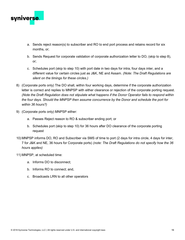

- a. Sends reject reason(s) to subscriber and RO to end port process and retains record for six months, or;
- b. Sends Request for corporate validation of corporate authorization letter to DO, (skip to step 8), or;
- c. Schedules port (skip to step 10) with port date in two days for intra, four days inter, and a different value for certain circles just as J&K, NE and Assam. (Note: The Draft Regulations are silent on the timings for these circles.)
- 8) (Corporate ports only) The DO shall, within four working days, determine if the corporate authorization letter is correct and replies to MNPSP with either clearance or rejection of the corporate porting request. (Note the Draft Regulation does not stipulate what happens if the Donor Operator fails to respond within the four days. Should the MNPSP then assume concurrence by the Donor and schedule the port for within 36 hours?)
- 9) (Corporate ports only) MNPSP either:
	- a. Passes Reject reason to RO & subscriber ending port; or
	- b. Schedules port (skip to step 10) for 36 hours after DO clearance of the corporate porting request
- 10) MNPSP informs DO, RO and Subscriber via SMS of time to port (2 days for intra circle, 4 days for inter, 7 for J&K and NE, 36 hours for Corporate ports) (note: The Draft Regulations do not specify how the 36 hours applies)
- 11) MNPSP, at scheduled time:
	- a. Informs DO to disconnect;
	- b. Informs RO to connect; and,
	- c. Broadcasts LRN to all other operators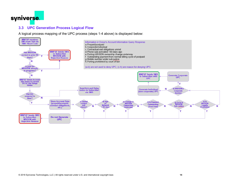

#### 3.3 UPC Generation Process Logical Flow

A logical process mapping of the UPC process (steps 1-4 above) is displayed below:

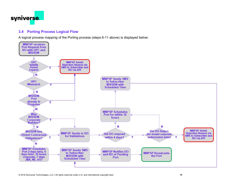

#### 3.4 Porting Process Logical Flow

A logical process mapping of the Porting process (steps 6-11 above) is displayed below: